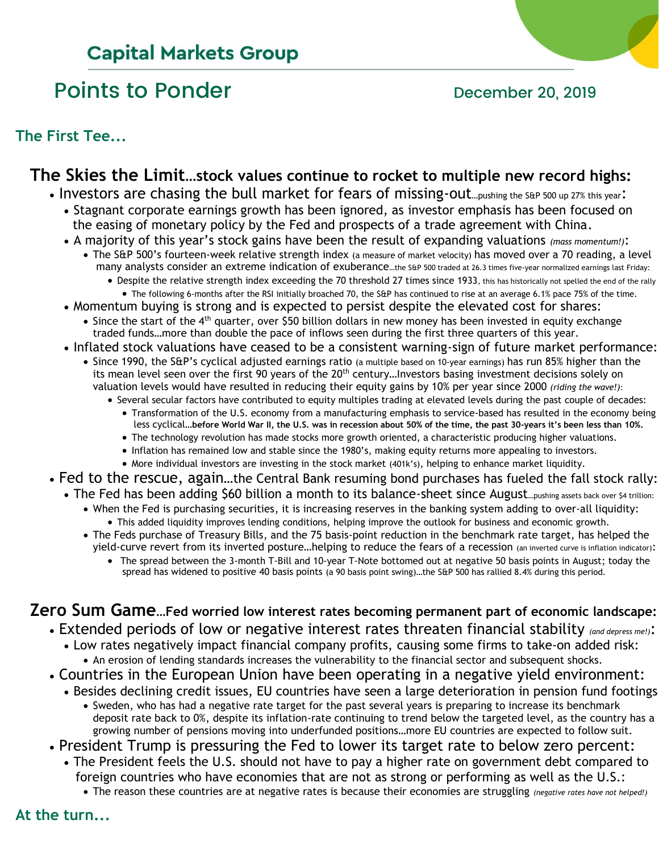## **Capital Markets Group**

## Points to Ponder **December 20, 2019**

**The First Tee...**

#### **The Skies the Limit…stock values continue to rocket to multiple new record highs:**

- Investors are chasing the bull market for fears of missing-out...pushing the S&P 500 up 27% this year:
	- Stagnant corporate earnings growth has been ignored, as investor emphasis has been focused on the easing of monetary policy by the Fed and prospects of a trade agreement with China.
	- A majority of this year's stock gains have been the result of expanding valuations *(mass momentum!)*:
		- The S&P 500's fourteen-week relative strength index (a measure of market velocity) has moved over a 70 reading, a level many analysts consider an extreme indication of exuberance…the S&P 500 traded at 26.3 times five-year normalized earnings last Friday:
			- Despite the relative strength index exceeding the 70 threshold 27 times since 1933, this has historically not spelled the end of the rally
			- The following 6-months after the RSI initially broached 70, the S&P has continued to rise at an average 6.1% pace 75% of the time.
	- Momentum buying is strong and is expected to persist despite the elevated cost for shares:
		- Since the start of the 4<sup>th</sup> quarter, over \$50 billion dollars in new money has been invested in equity exchange traded funds…more than double the pace of inflows seen during the first three quarters of this year.
	- Inflated stock valuations have ceased to be a consistent warning-sign of future market performance:
		- Since 1990, the S&P's cyclical adjusted earnings ratio (a multiple based on 10-year earnings) has run 85% higher than the its mean level seen over the first 90 years of the 20<sup>th</sup> century...Investors basing investment decisions solely on valuation levels would have resulted in reducing their equity gains by 10% per year since 2000 *(riding the wave!)*:
			- Several secular factors have contributed to equity multiples trading at elevated levels during the past couple of decades:
				- Transformation of the U.S. economy from a manufacturing emphasis to service-based has resulted in the economy being
				- less cyclical…**before World War II, the U.S. was in recession about 50% of the time, the past 30-years it's been less than 10%.**
				- The technology revolution has made stocks more growth oriented, a characteristic producing higher valuations. • Inflation has remained low and stable since the 1980's, making equity returns more appealing to investors.
				- More individual investors are investing in the stock market (401k's), helping to enhance market liquidity.
- Fed to the rescue, again…the Central Bank resuming bond purchases has fueled the fall stock rally:
	- The Fed has been adding \$60 billion a month to its balance-sheet since August...pushing assets back over \$4 trillion:
		- When the Fed is purchasing securities, it is increasing reserves in the banking system adding to over-all liquidity:
			- This added liquidity improves lending conditions, helping improve the outlook for business and economic growth.
		- The Feds purchase of Treasury Bills, and the 75 basis-point reduction in the benchmark rate target, has helped the yield-curve revert from its inverted posture…helping to reduce the fears of a recession (an inverted curve is inflation indicator):
			- The spread between the 3-month T-Bill and 10-year T-Note bottomed out at negative 50 basis points in August; today the spread has widened to positive 40 basis points (a 90 basis point swing)…the S&P 500 has rallied 8.4% during this period.

### **Zero Sum Game…Fed worried low interest rates becoming permanent part of economic landscape:**

- Extended periods of low or negative interest rates threaten financial stability *(and depress me!)*:
	- Low rates negatively impact financial company profits, causing some firms to take-on added risk: • An erosion of lending standards increases the vulnerability to the financial sector and subsequent shocks.
- Countries in the European Union have been operating in a negative yield environment:
	- Besides declining credit issues, EU countries have seen a large deterioration in pension fund footings
		- Sweden, who has had a negative rate target for the past several years is preparing to increase its benchmark deposit rate back to 0%, despite its inflation-rate continuing to trend below the targeted level, as the country has a growing number of pensions moving into underfunded positions…more EU countries are expected to follow suit.
- President Trump is pressuring the Fed to lower its target rate to below zero percent:
	- The President feels the U.S. should not have to pay a higher rate on government debt compared to foreign countries who have economies that are not as strong or performing as well as the U.S.:
		- The reason these countries are at negative rates is because their economies are struggling *(negative rates have not helped!)*